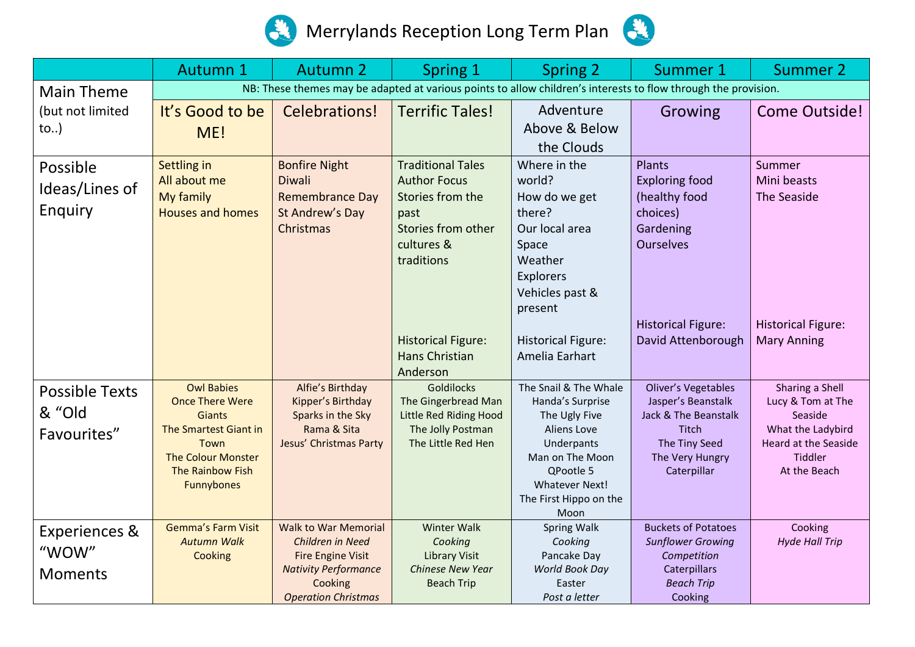



|                          | Autumn 1                                      | <b>Autumn 2</b>                                         | <b>Spring 1</b>                                 | <b>Spring 2</b>               | Summer 1                                                                                                       | <b>Summer 2</b>             |
|--------------------------|-----------------------------------------------|---------------------------------------------------------|-------------------------------------------------|-------------------------------|----------------------------------------------------------------------------------------------------------------|-----------------------------|
| <b>Main Theme</b>        |                                               |                                                         |                                                 |                               | NB: These themes may be adapted at various points to allow children's interests to flow through the provision. |                             |
| (but not limited         | It's Good to be                               | Celebrations!                                           | <b>Terrific Tales!</b>                          | Adventure                     | Growing                                                                                                        | <b>Come Outside!</b>        |
| to)                      | ME!                                           |                                                         |                                                 | Above & Below<br>the Clouds   |                                                                                                                |                             |
| Possible                 | Settling in                                   | <b>Bonfire Night</b>                                    | <b>Traditional Tales</b>                        | Where in the                  | Plants                                                                                                         | Summer                      |
| Ideas/Lines of           | All about me                                  | Diwali                                                  | <b>Author Focus</b><br>Stories from the         | world?                        | <b>Exploring food</b>                                                                                          | Mini beasts<br>The Seaside  |
| Enquiry                  | My family<br><b>Houses and homes</b>          | <b>Remembrance Day</b><br>St Andrew's Day               | past                                            | How do we get<br>there?       | (healthy food<br>choices)                                                                                      |                             |
|                          |                                               | Christmas                                               | Stories from other                              | Our local area                | Gardening                                                                                                      |                             |
|                          |                                               |                                                         | cultures &                                      | Space                         | <b>Ourselves</b>                                                                                               |                             |
|                          |                                               |                                                         | traditions                                      | Weather                       |                                                                                                                |                             |
|                          |                                               |                                                         |                                                 | <b>Explorers</b>              |                                                                                                                |                             |
|                          |                                               |                                                         |                                                 | Vehicles past &               |                                                                                                                |                             |
|                          |                                               |                                                         |                                                 | present                       |                                                                                                                |                             |
|                          |                                               |                                                         |                                                 |                               | <b>Historical Figure:</b>                                                                                      | <b>Historical Figure:</b>   |
|                          |                                               |                                                         | <b>Historical Figure:</b>                       | <b>Historical Figure:</b>     | David Attenborough                                                                                             | <b>Mary Anning</b>          |
|                          |                                               |                                                         | <b>Hans Christian</b><br>Anderson               | Amelia Earhart                |                                                                                                                |                             |
|                          | <b>Owl Babies</b>                             | Alfie's Birthday                                        | <b>Goldilocks</b>                               | The Snail & The Whale         | Oliver's Vegetables                                                                                            | Sharing a Shell             |
| <b>Possible Texts</b>    | <b>Once There Were</b>                        | Kipper's Birthday                                       | The Gingerbread Man                             | Handa's Surprise              | Jasper's Beanstalk                                                                                             | Lucy & Tom at The           |
| & "Old                   | <b>Giants</b>                                 | Sparks in the Sky                                       | Little Red Riding Hood                          | The Ugly Five                 | Jack & The Beanstalk                                                                                           | Seaside                     |
| Favourites"              | The Smartest Giant in                         | Rama & Sita                                             | The Jolly Postman                               | Aliens Love                   | Titch                                                                                                          | What the Ladybird           |
|                          | Town                                          | Jesus' Christmas Party                                  | The Little Red Hen                              | Underpants                    | The Tiny Seed                                                                                                  | <b>Heard at the Seaside</b> |
|                          | <b>The Colour Monster</b><br>The Rainbow Fish |                                                         |                                                 | Man on The Moon<br>QPootle 5  | The Very Hungry<br>Caterpillar                                                                                 | Tiddler<br>At the Beach     |
|                          | Funnybones                                    |                                                         |                                                 | Whatever Next!                |                                                                                                                |                             |
|                          |                                               |                                                         |                                                 | The First Hippo on the        |                                                                                                                |                             |
|                          |                                               |                                                         |                                                 | Moon                          |                                                                                                                |                             |
| <b>Experiences &amp;</b> | <b>Gemma's Farm Visit</b>                     | <b>Walk to War Memorial</b>                             | <b>Winter Walk</b>                              | <b>Spring Walk</b>            | <b>Buckets of Potatoes</b>                                                                                     | Cooking                     |
| "WOW"                    | <b>Autumn Walk</b>                            | Children in Need                                        | Cooking                                         | Cooking                       | <b>Sunflower Growing</b>                                                                                       | <b>Hyde Hall Trip</b>       |
|                          | Cooking                                       | <b>Fire Engine Visit</b><br><b>Nativity Performance</b> | <b>Library Visit</b><br><b>Chinese New Year</b> | Pancake Day<br>World Book Day | Competition<br>Caterpillars                                                                                    |                             |
| <b>Moments</b>           |                                               | Cooking                                                 | <b>Beach Trip</b>                               | Easter                        | <b>Beach Trip</b>                                                                                              |                             |
|                          |                                               | <b>Operation Christmas</b>                              |                                                 | Post a letter                 | Cooking                                                                                                        |                             |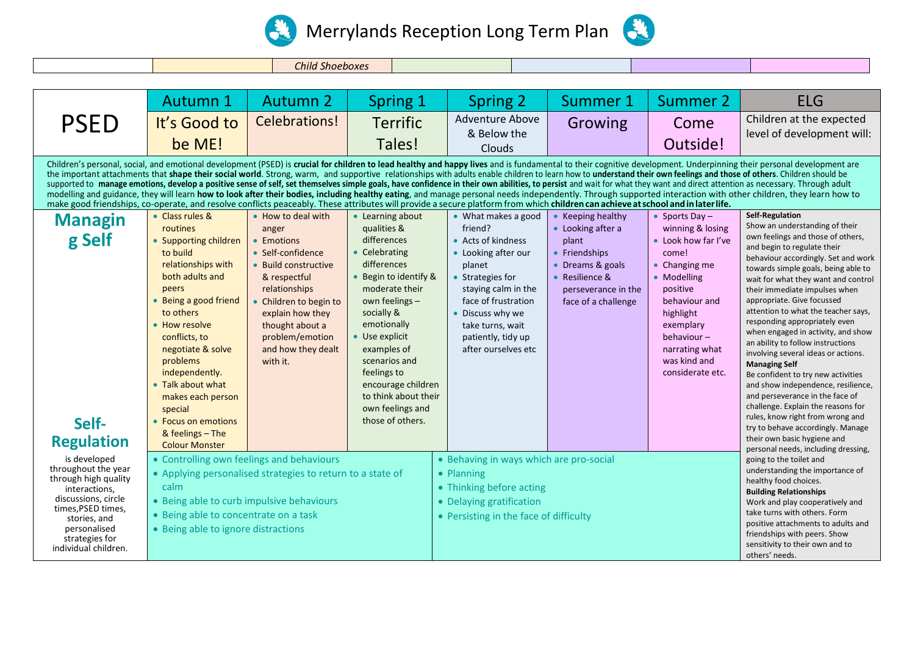



*Child Shoeboxes*

|                                                                                                                                                                                                                                            | <b>Autumn 1</b>                                                                                                                                                                                                                                                                                                                                                        | <b>Autumn 2</b>                                                                                                                                                                                                                               | Spring 1                                                                                                                                                                                                                                                                                                                        | Spring 2                                                                                                                                                                                                                                     | Summer 1                                                                                                                                             | Summer 2                                                                                                                                                                                                                                   | <b>ELG</b>                                                                                                                                                                                                                                                                                                                                                                                                                                                                                                                                                                                                                                                                                                                                                                                                                                                                                                                                                                                                                                                                                                                                                                                                                                                                                                                                                                                                                                                                                                                                                                                                                                                                                                                                 |
|--------------------------------------------------------------------------------------------------------------------------------------------------------------------------------------------------------------------------------------------|------------------------------------------------------------------------------------------------------------------------------------------------------------------------------------------------------------------------------------------------------------------------------------------------------------------------------------------------------------------------|-----------------------------------------------------------------------------------------------------------------------------------------------------------------------------------------------------------------------------------------------|---------------------------------------------------------------------------------------------------------------------------------------------------------------------------------------------------------------------------------------------------------------------------------------------------------------------------------|----------------------------------------------------------------------------------------------------------------------------------------------------------------------------------------------------------------------------------------------|------------------------------------------------------------------------------------------------------------------------------------------------------|--------------------------------------------------------------------------------------------------------------------------------------------------------------------------------------------------------------------------------------------|--------------------------------------------------------------------------------------------------------------------------------------------------------------------------------------------------------------------------------------------------------------------------------------------------------------------------------------------------------------------------------------------------------------------------------------------------------------------------------------------------------------------------------------------------------------------------------------------------------------------------------------------------------------------------------------------------------------------------------------------------------------------------------------------------------------------------------------------------------------------------------------------------------------------------------------------------------------------------------------------------------------------------------------------------------------------------------------------------------------------------------------------------------------------------------------------------------------------------------------------------------------------------------------------------------------------------------------------------------------------------------------------------------------------------------------------------------------------------------------------------------------------------------------------------------------------------------------------------------------------------------------------------------------------------------------------------------------------------------------------|
| <b>PSED</b>                                                                                                                                                                                                                                | It's Good to<br>be ME!                                                                                                                                                                                                                                                                                                                                                 | Celebrations!                                                                                                                                                                                                                                 | <b>Terrific</b><br>Tales!                                                                                                                                                                                                                                                                                                       | Adventure Above<br>& Below the<br><b>Clouds</b>                                                                                                                                                                                              | Growing                                                                                                                                              | Come<br>Outside!                                                                                                                                                                                                                           | Children at the expected<br>level of development will:                                                                                                                                                                                                                                                                                                                                                                                                                                                                                                                                                                                                                                                                                                                                                                                                                                                                                                                                                                                                                                                                                                                                                                                                                                                                                                                                                                                                                                                                                                                                                                                                                                                                                     |
| make good friendships, co-operate, and resolve conflicts peaceably. These attributes will provide a secure platform from which children can achieve at school and in later life.<br><b>Managin</b><br>g Self<br>Self-<br><b>Regulation</b> | • Class rules &<br>routines<br>• Supporting children<br>to build<br>relationships with<br>both adults and<br>peers<br>Being a good friend<br>to others<br>• How resolve<br>conflicts, to<br>negotiate & solve<br>problems<br>independently.<br>• Talk about what<br>makes each person<br>special<br>• Focus on emotions<br>& feelings $-$ The<br><b>Colour Monster</b> | • How to deal with<br>anger<br>• Emotions<br>• Self-confidence<br>• Build constructive<br>& respectful<br>relationships<br>• Children to begin to<br>explain how they<br>thought about a<br>problem/emotion<br>and how they dealt<br>with it. | • Learning about<br>qualities &<br>differences<br>• Celebrating<br>differences<br>• Begin to identify &<br>moderate their<br>own feelings -<br>socially &<br>emotionally<br>• Use explicit<br>examples of<br>scenarios and<br>feelings to<br>encourage children<br>to think about their<br>own feelings and<br>those of others. | • What makes a good<br>friend?<br>• Acts of kindness<br>• Looking after our<br>planet<br>• Strategies for<br>staying calm in the<br>face of frustration<br>• Discuss why we<br>take turns, wait<br>patiently, tidy up<br>after ourselves etc | • Keeping healthy<br>• Looking after a<br>plant<br>• Friendships<br>• Dreams & goals<br>• Resilience &<br>perseverance in the<br>face of a challenge | • Sports Day $-$<br>winning & losing<br>• Look how far I've<br>come!<br>$\bullet$ Changing me<br>• Modelling<br>positive<br>behaviour and<br>highlight<br>exemplary<br>behaviour $-$<br>narrating what<br>was kind and<br>considerate etc. | Children's personal, social, and emotional development (PSED) is crucial for children to lead healthy and happy lives and is fundamental to their cognitive development. Underpinning their personal development are<br>the important attachments that shape their social world. Strong, warm, and supportive relationships with adults enable children to learn how to understand their own feelings and those of others. Children should be<br>supported to manage emotions, develop a positive sense of self, set themselves simple goals, have confidence in their own abilities, to persist and wait for what they want and direct attention as necessary. Through adult<br>modelling and guidance, they will learn how to look after their bodies, including healthy eating, and manage personal needs independently. Through supported interaction with other children, they learn how to<br><b>Self-Regulation</b><br>Show an understanding of their<br>own feelings and those of others,<br>and begin to regulate their<br>behaviour accordingly. Set and work<br>towards simple goals, being able to<br>wait for what they want and control<br>their immediate impulses when<br>appropriate. Give focussed<br>attention to what the teacher says,<br>responding appropriately even<br>when engaged in activity, and show<br>an ability to follow instructions<br>involving several ideas or actions.<br><b>Managing Self</b><br>Be confident to try new activities<br>and show independence, resilience,<br>and perseverance in the face of<br>challenge. Explain the reasons for<br>rules, know right from wrong and<br>try to behave accordingly. Manage<br>their own basic hygiene and<br>personal needs, including dressing, |
| is developed<br>throughout the year<br>through high quality<br>interactions.<br>discussions, circle<br>times, PSED times,<br>stories, and<br>personalised<br>strategies for<br>individual children.                                        | • Controlling own feelings and behaviours<br>calm<br>• Being able to curb impulsive behaviours<br>• Being able to concentrate on a task<br>• Being able to ignore distractions                                                                                                                                                                                         | • Applying personalised strategies to return to a state of                                                                                                                                                                                    |                                                                                                                                                                                                                                                                                                                                 | • Behaving in ways which are pro-social<br>• Planning<br>• Thinking before acting<br>• Delaying gratification<br>• Persisting in the face of difficulty                                                                                      |                                                                                                                                                      |                                                                                                                                                                                                                                            | going to the toilet and<br>understanding the importance of<br>healthy food choices.<br><b>Building Relationships</b><br>Work and play cooperatively and<br>take turns with others. Form<br>positive attachments to adults and<br>friendships with peers. Show<br>sensitivity to their own and to<br>others' needs.                                                                                                                                                                                                                                                                                                                                                                                                                                                                                                                                                                                                                                                                                                                                                                                                                                                                                                                                                                                                                                                                                                                                                                                                                                                                                                                                                                                                                         |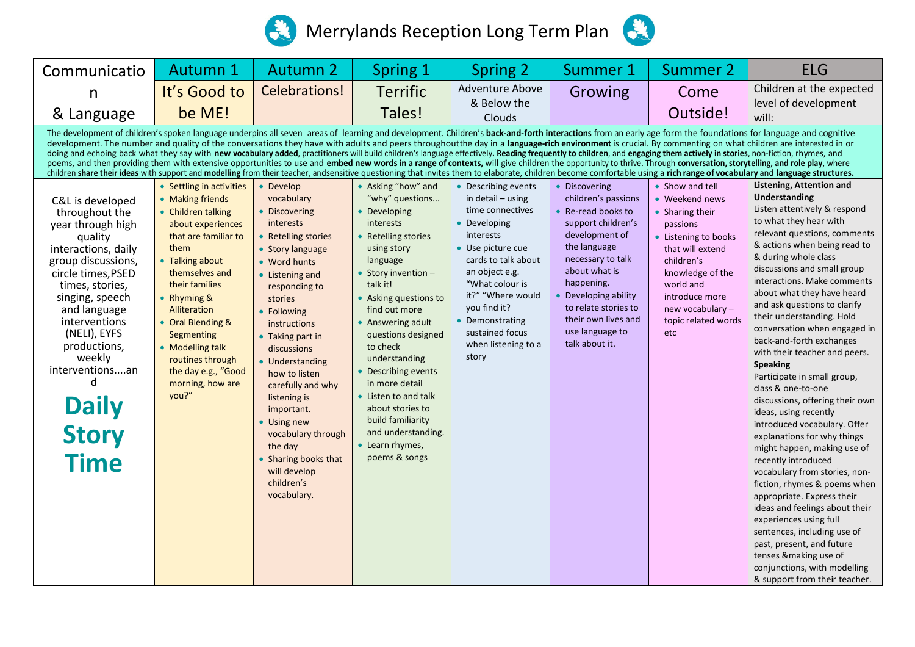



| Communicatio                                                                                                                                                                                                                                                                                                                                                                                                                                                                                                                                                                                                                                                                                                                                                                                                                                                                                                                                                                                                                                                                                                  | Autumn 1                                                                                                                                                                                                                                                                                                                                        | <b>Autumn 2</b>                                                                                                                                                                                                                                                                                                                                                                                                                               | <b>Spring 1</b>                                                                                                                                                                                                                                                                                                                                                                                                                                 | <b>Spring 2</b>                                                                                                                                                                                                                                                                         | Summer 1                                                                                                                                                                                                                                                                           | <b>Summer 2</b>                                                                                                                                                                                                                 | <b>ELG</b>                                                                                                                                                                                                                                                                                                                                                                                                                                                                                                                                                                                                                                                                                                                                                                                                                                                                                                                                                                                                                                 |  |  |  |
|---------------------------------------------------------------------------------------------------------------------------------------------------------------------------------------------------------------------------------------------------------------------------------------------------------------------------------------------------------------------------------------------------------------------------------------------------------------------------------------------------------------------------------------------------------------------------------------------------------------------------------------------------------------------------------------------------------------------------------------------------------------------------------------------------------------------------------------------------------------------------------------------------------------------------------------------------------------------------------------------------------------------------------------------------------------------------------------------------------------|-------------------------------------------------------------------------------------------------------------------------------------------------------------------------------------------------------------------------------------------------------------------------------------------------------------------------------------------------|-----------------------------------------------------------------------------------------------------------------------------------------------------------------------------------------------------------------------------------------------------------------------------------------------------------------------------------------------------------------------------------------------------------------------------------------------|-------------------------------------------------------------------------------------------------------------------------------------------------------------------------------------------------------------------------------------------------------------------------------------------------------------------------------------------------------------------------------------------------------------------------------------------------|-----------------------------------------------------------------------------------------------------------------------------------------------------------------------------------------------------------------------------------------------------------------------------------------|------------------------------------------------------------------------------------------------------------------------------------------------------------------------------------------------------------------------------------------------------------------------------------|---------------------------------------------------------------------------------------------------------------------------------------------------------------------------------------------------------------------------------|--------------------------------------------------------------------------------------------------------------------------------------------------------------------------------------------------------------------------------------------------------------------------------------------------------------------------------------------------------------------------------------------------------------------------------------------------------------------------------------------------------------------------------------------------------------------------------------------------------------------------------------------------------------------------------------------------------------------------------------------------------------------------------------------------------------------------------------------------------------------------------------------------------------------------------------------------------------------------------------------------------------------------------------------|--|--|--|
| n                                                                                                                                                                                                                                                                                                                                                                                                                                                                                                                                                                                                                                                                                                                                                                                                                                                                                                                                                                                                                                                                                                             | It's Good to                                                                                                                                                                                                                                                                                                                                    | Celebrations!                                                                                                                                                                                                                                                                                                                                                                                                                                 | <b>Terrific</b>                                                                                                                                                                                                                                                                                                                                                                                                                                 | Adventure Above                                                                                                                                                                                                                                                                         | Growing                                                                                                                                                                                                                                                                            | Come                                                                                                                                                                                                                            | Children at the expected                                                                                                                                                                                                                                                                                                                                                                                                                                                                                                                                                                                                                                                                                                                                                                                                                                                                                                                                                                                                                   |  |  |  |
| & Language                                                                                                                                                                                                                                                                                                                                                                                                                                                                                                                                                                                                                                                                                                                                                                                                                                                                                                                                                                                                                                                                                                    | be ME!                                                                                                                                                                                                                                                                                                                                          |                                                                                                                                                                                                                                                                                                                                                                                                                                               | Tales!                                                                                                                                                                                                                                                                                                                                                                                                                                          | & Below the<br>Clouds                                                                                                                                                                                                                                                                   |                                                                                                                                                                                                                                                                                    | Outside!                                                                                                                                                                                                                        | level of development<br>will:                                                                                                                                                                                                                                                                                                                                                                                                                                                                                                                                                                                                                                                                                                                                                                                                                                                                                                                                                                                                              |  |  |  |
| The development of children's spoken language underpins all seven areas of learning and development. Children's back-and-forth interactions from an early age form the foundations for language and cognitive<br>development. The number and quality of the conversations they have with adults and peers throughout the day in a language-rich environment is crucial. By commenting on what children are interested in or<br>doing and echoing back what they say with new vocabulary added, practitioners will build children's language effectively. Reading frequently to children, and engaging them actively in stories, non-fiction, rhymes, and<br>poems, and then providing them with extensive opportunities to use and embed new words in a range of contexts, will give children the opportunity to thrive. Through conversation, storytelling, and role play, where<br>children share their ideas with support and modelling from their teacher, andsensitive questioning that invites them to elaborate, children become comfortable using a rich range of vocabulary and language structures. |                                                                                                                                                                                                                                                                                                                                                 |                                                                                                                                                                                                                                                                                                                                                                                                                                               |                                                                                                                                                                                                                                                                                                                                                                                                                                                 |                                                                                                                                                                                                                                                                                         |                                                                                                                                                                                                                                                                                    |                                                                                                                                                                                                                                 |                                                                                                                                                                                                                                                                                                                                                                                                                                                                                                                                                                                                                                                                                                                                                                                                                                                                                                                                                                                                                                            |  |  |  |
| C&L is developed<br>throughout the<br>year through high<br>quality<br>interactions, daily<br>group discussions,<br>circle times, PSED<br>times, stories,<br>singing, speech<br>and language<br>interventions<br>(NELI), EYFS<br>productions,<br>weekly<br>interventionsan<br>d<br><b>Daily</b><br><b>Story</b><br><b>Time</b>                                                                                                                                                                                                                                                                                                                                                                                                                                                                                                                                                                                                                                                                                                                                                                                 | • Settling in activities<br>• Making friends<br>• Children talking<br>about experiences<br>that are familiar to<br>them<br>• Talking about<br>themselves and<br>their families<br>• Rhyming $\&$<br>Alliteration<br>• Oral Blending &<br>Segmenting<br>• Modelling talk<br>routines through<br>the day e.g., "Good<br>morning, how are<br>you?" | • Develop<br>vocabulary<br>• Discovering<br>interests<br>• Retelling stories<br>• Story language<br>• Word hunts<br>• Listening and<br>responding to<br>stories<br>• Following<br>instructions<br>• Taking part in<br>discussions<br>• Understanding<br>how to listen<br>carefully and why<br>listening is<br>important.<br>• Using new<br>vocabulary through<br>the day<br>• Sharing books that<br>will develop<br>children's<br>vocabulary. | • Asking "how" and<br>"why" questions<br>• Developing<br>interests<br>• Retelling stories<br>using story<br>language<br>• Story invention $-$<br>talk it!<br>• Asking questions to<br>find out more<br>• Answering adult<br>questions designed<br>to check<br>understanding<br>• Describing events<br>in more detail<br>• Listen to and talk<br>about stories to<br>build familiarity<br>and understanding.<br>• Learn rhymes,<br>poems & songs | • Describing events<br>in detail $-$ using<br>time connectives<br>• Developing<br>interests<br>• Use picture cue<br>cards to talk about<br>an object e.g.<br>"What colour is<br>it?" "Where would<br>you find it?<br>• Demonstrating<br>sustained focus<br>when listening to a<br>story | • Discovering<br>children's passions<br>• Re-read books to<br>support children's<br>development of<br>the language<br>necessary to talk<br>about what is<br>happening.<br>• Developing ability<br>to relate stories to<br>their own lives and<br>use language to<br>talk about it. | • Show and tell<br>• Weekend news<br>• Sharing their<br>passions<br>• Listening to books<br>that will extend<br>children's<br>knowledge of the<br>world and<br>introduce more<br>new vocabulary -<br>topic related words<br>etc | <b>Listening, Attention and</b><br><b>Understanding</b><br>Listen attentively & respond<br>to what they hear with<br>relevant questions, comments<br>& actions when being read to<br>& during whole class<br>discussions and small group<br>interactions. Make comments<br>about what they have heard<br>and ask questions to clarify<br>their understanding. Hold<br>conversation when engaged in<br>back-and-forth exchanges<br>with their teacher and peers.<br><b>Speaking</b><br>Participate in small group,<br>class & one-to-one<br>discussions, offering their own<br>ideas, using recently<br>introduced vocabulary. Offer<br>explanations for why things<br>might happen, making use of<br>recently introduced<br>vocabulary from stories, non-<br>fiction, rhymes & poems when<br>appropriate. Express their<br>ideas and feelings about their<br>experiences using full<br>sentences, including use of<br>past, present, and future<br>tenses & making use of<br>conjunctions, with modelling<br>& support from their teacher. |  |  |  |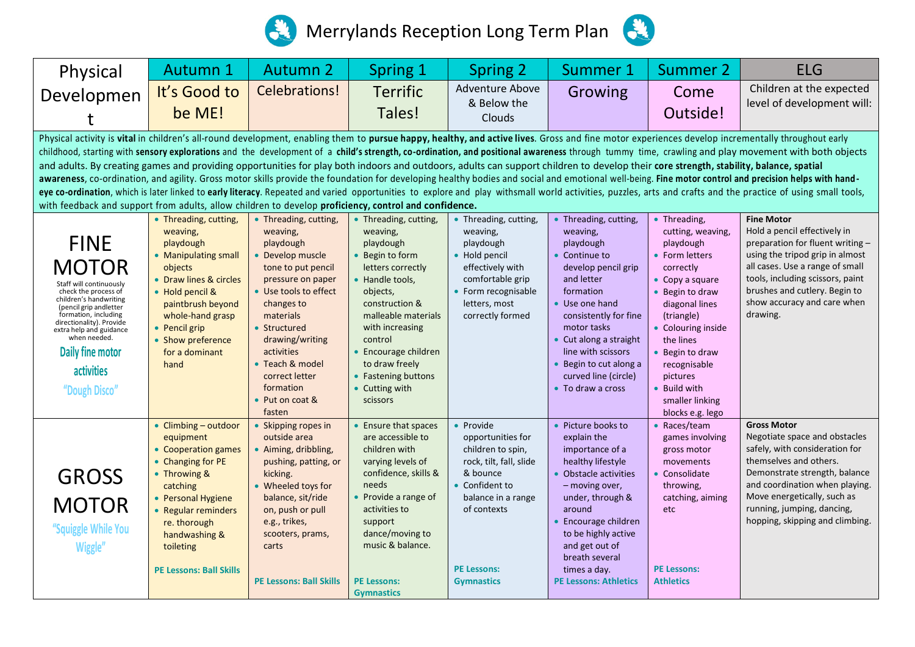



| Physical                                                                                                                                                                                                                                                                                                                                                                                                                                                                                                                                                                                                                                                                                                                                                                                                                                                                                                                                                                                                                                                                                                                           | <b>Autumn 1</b>                                                                                                                                                                                                                         | <b>Autumn 2</b>                                                                                                                                                                                                                                                                               | <b>Spring 1</b>                                                                                                                                                                                                                                                                             | <b>Spring 2</b>                                                                                                                                                                              | Summer 1                                                                                                                                                                                                                                                                                       | <b>Summer 2</b>                                                                                                                                                                                                                                                                                      | <b>ELG</b>                                                                                                                                                                                                                                                                         |  |  |
|------------------------------------------------------------------------------------------------------------------------------------------------------------------------------------------------------------------------------------------------------------------------------------------------------------------------------------------------------------------------------------------------------------------------------------------------------------------------------------------------------------------------------------------------------------------------------------------------------------------------------------------------------------------------------------------------------------------------------------------------------------------------------------------------------------------------------------------------------------------------------------------------------------------------------------------------------------------------------------------------------------------------------------------------------------------------------------------------------------------------------------|-----------------------------------------------------------------------------------------------------------------------------------------------------------------------------------------------------------------------------------------|-----------------------------------------------------------------------------------------------------------------------------------------------------------------------------------------------------------------------------------------------------------------------------------------------|---------------------------------------------------------------------------------------------------------------------------------------------------------------------------------------------------------------------------------------------------------------------------------------------|----------------------------------------------------------------------------------------------------------------------------------------------------------------------------------------------|------------------------------------------------------------------------------------------------------------------------------------------------------------------------------------------------------------------------------------------------------------------------------------------------|------------------------------------------------------------------------------------------------------------------------------------------------------------------------------------------------------------------------------------------------------------------------------------------------------|------------------------------------------------------------------------------------------------------------------------------------------------------------------------------------------------------------------------------------------------------------------------------------|--|--|
| Developmen                                                                                                                                                                                                                                                                                                                                                                                                                                                                                                                                                                                                                                                                                                                                                                                                                                                                                                                                                                                                                                                                                                                         | It's Good to                                                                                                                                                                                                                            | Celebrations!                                                                                                                                                                                                                                                                                 | <b>Terrific</b>                                                                                                                                                                                                                                                                             | Adventure Above<br>& Below the                                                                                                                                                               | Growing                                                                                                                                                                                                                                                                                        | Come                                                                                                                                                                                                                                                                                                 | Children at the expected<br>level of development will:                                                                                                                                                                                                                             |  |  |
|                                                                                                                                                                                                                                                                                                                                                                                                                                                                                                                                                                                                                                                                                                                                                                                                                                                                                                                                                                                                                                                                                                                                    | be ME!                                                                                                                                                                                                                                  |                                                                                                                                                                                                                                                                                               | Tales!                                                                                                                                                                                                                                                                                      | Clouds                                                                                                                                                                                       |                                                                                                                                                                                                                                                                                                | Outside!                                                                                                                                                                                                                                                                                             |                                                                                                                                                                                                                                                                                    |  |  |
| Physical activity is vital in children's all-round development, enabling them to pursue happy, healthy, and active lives. Gross and fine motor experiences develop incrementally throughout early<br>childhood, starting with sensory explorations and the development of a child's strength, co-ordination, and positional awareness through tummy time, crawling and play movement with both objects<br>and adults. By creating games and providing opportunities for play both indoors and outdoors, adults can support children to develop their core strength, stability, balance, spatial<br>awareness, co-ordination, and agility. Gross motor skills provide the foundation for developing healthy bodies and social and emotional well-being. Fine motor control and precision helps with hand-<br>eye co-ordination, which is later linked to early literacy. Repeated and varied opportunities to explore and play withsmall world activities, puzzles, arts and crafts and the practice of using small tools,<br>with feedback and support from adults, allow children to develop proficiency, control and confidence. |                                                                                                                                                                                                                                         |                                                                                                                                                                                                                                                                                               |                                                                                                                                                                                                                                                                                             |                                                                                                                                                                                              |                                                                                                                                                                                                                                                                                                |                                                                                                                                                                                                                                                                                                      |                                                                                                                                                                                                                                                                                    |  |  |
| <b>FINE</b><br><b>MOTOR</b><br>Staff will continuously<br>check the process of<br>children's handwriting<br>(pencil grip andletter<br>formation, including<br>directionality). Provide<br>extra help and guidance<br>when needed.<br>Daily fine motor<br>activities<br>"Dough Disco"                                                                                                                                                                                                                                                                                                                                                                                                                                                                                                                                                                                                                                                                                                                                                                                                                                               | • Threading, cutting,<br>weaving,<br>playdough<br>• Manipulating small<br>objects<br>• Draw lines & circles<br>• Hold pencil &<br>paintbrush beyond<br>whole-hand grasp<br>• Pencil grip<br>• Show preference<br>for a dominant<br>hand | • Threading, cutting,<br>weaving,<br>playdough<br>Develop muscle<br>tone to put pencil<br>pressure on paper<br>• Use tools to effect<br>changes to<br>materials<br>• Structured<br>drawing/writing<br>activities<br>• Teach & model<br>correct letter<br>formation<br>Put on coat &<br>fasten | • Threading, cutting,<br>weaving,<br>playdough<br>• Begin to form<br>letters correctly<br>• Handle tools,<br>objects,<br>construction &<br>malleable materials<br>with increasing<br>control<br>• Encourage children<br>to draw freely<br>• Fastening buttons<br>• Cutting with<br>scissors | • Threading, cutting,<br>weaving,<br>playdough<br>• Hold pencil<br>effectively with<br>comfortable grip<br>• Form recognisable<br>letters, most<br>correctly formed                          | • Threading, cutting,<br>weaving,<br>playdough<br>Continue to<br>develop pencil grip<br>and letter<br>formation<br>• Use one hand<br>consistently for fine<br>motor tasks<br>• Cut along a straight<br>line with scissors<br>Begin to cut along a<br>curved line (circle)<br>• To draw a cross | • Threading,<br>cutting, weaving,<br>playdough<br>• Form letters<br>correctly<br>$\bullet$ Copy a square<br>• Begin to draw<br>diagonal lines<br>(triangle)<br>• Colouring inside<br>the lines<br>• Begin to draw<br>recognisable<br>pictures<br>• Build with<br>smaller linking<br>blocks e.g. lego | <b>Fine Motor</b><br>Hold a pencil effectively in<br>preparation for fluent writing -<br>using the tripod grip in almost<br>all cases. Use a range of small<br>tools, including scissors, paint<br>brushes and cutlery. Begin to<br>show accuracy and care when<br>drawing.        |  |  |
| <b>GROSS</b><br><b>MOTOR</b><br>"Squiggle While You<br>Wiggle'                                                                                                                                                                                                                                                                                                                                                                                                                                                                                                                                                                                                                                                                                                                                                                                                                                                                                                                                                                                                                                                                     | • Climbing - outdoor<br>equipment<br>• Cooperation games<br>• Changing for PE<br>• Throwing &<br>catching<br>• Personal Hygiene<br>• Regular reminders<br>re. thorough<br>handwashing &<br>toileting<br><b>PE Lessons: Ball Skills</b>  | • Skipping ropes in<br>outside area<br>Aiming, dribbling,<br>pushing, patting, or<br>kicking.<br>• Wheeled toys for<br>balance, sit/ride<br>on, push or pull<br>e.g., trikes,<br>scooters, prams,<br>carts<br><b>PE Lessons: Ball Skills</b>                                                  | • Ensure that spaces<br>are accessible to<br>children with<br>varying levels of<br>confidence, skills &<br>needs<br>• Provide a range of<br>activities to<br>support<br>dance/moving to<br>music & balance.<br><b>PE Lessons:</b><br><b>Gymnastics</b>                                      | • Provide<br>opportunities for<br>children to spin,<br>rock, tilt, fall, slide<br>& bounce<br>• Confident to<br>balance in a range<br>of contexts<br><b>PE Lessons:</b><br><b>Gymnastics</b> | • Picture books to<br>explain the<br>importance of a<br>healthy lifestyle<br><b>Obstacle activities</b><br>- moving over,<br>under, through &<br>around<br>Encourage children<br>to be highly active<br>and get out of<br>breath several<br>times a day.<br><b>PE Lessons: Athletics</b>       | • Races/team<br>games involving<br>gross motor<br>movements<br>• Consolidate<br>throwing,<br>catching, aiming<br>etc<br><b>PE Lessons:</b><br><b>Athletics</b>                                                                                                                                       | <b>Gross Motor</b><br>Negotiate space and obstacles<br>safely, with consideration for<br>themselves and others.<br>Demonstrate strength, balance<br>and coordination when playing.<br>Move energetically, such as<br>running, jumping, dancing,<br>hopping, skipping and climbing. |  |  |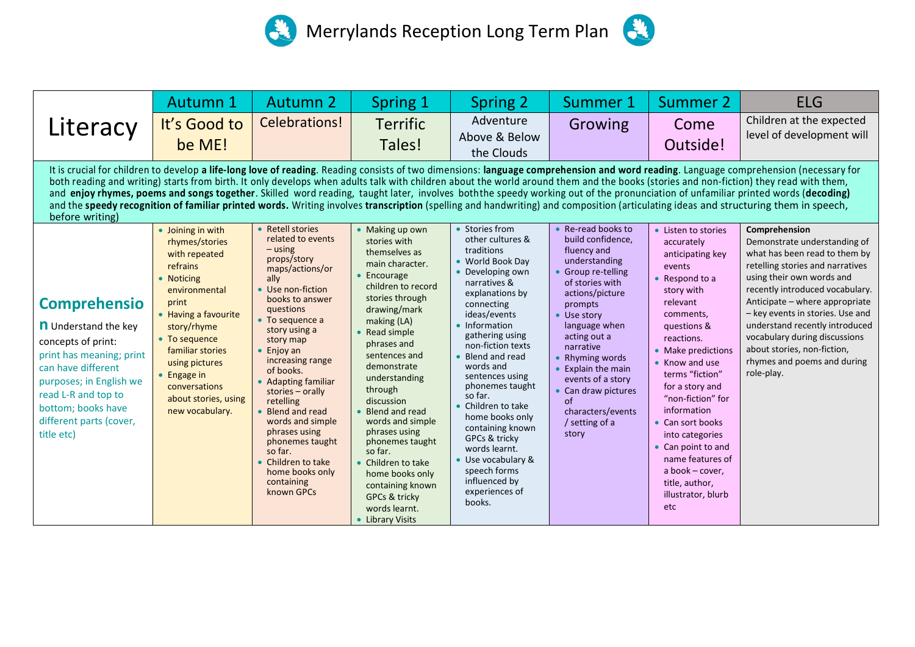



|                                                                                                                                                                                                                                                                                                                                                                                                                                                                                                                                                                                                                                                                                                                                                                              | <b>Autumn 1</b>                                                                                                                                                                                                                                                                           | <b>Autumn 2</b>                                                                                                                                                                                                                                                                                                                                                                                                                                                                 | Spring 1                                                                                                                                                                                                                                                                                                                                                                                                                                                                                | Spring 2                                                                                                                                                                                                                                                                                                                                                                                                                                                                           | Summer 1                                                                                                                                                                                                                                                                                                                                               | Summer 2                                                                                                                                                                                                                                                                                                                                                                                                                     | <b>ELG</b>                                                                                                                                                                                                                                                                                                                                                                                              |  |  |  |
|------------------------------------------------------------------------------------------------------------------------------------------------------------------------------------------------------------------------------------------------------------------------------------------------------------------------------------------------------------------------------------------------------------------------------------------------------------------------------------------------------------------------------------------------------------------------------------------------------------------------------------------------------------------------------------------------------------------------------------------------------------------------------|-------------------------------------------------------------------------------------------------------------------------------------------------------------------------------------------------------------------------------------------------------------------------------------------|---------------------------------------------------------------------------------------------------------------------------------------------------------------------------------------------------------------------------------------------------------------------------------------------------------------------------------------------------------------------------------------------------------------------------------------------------------------------------------|-----------------------------------------------------------------------------------------------------------------------------------------------------------------------------------------------------------------------------------------------------------------------------------------------------------------------------------------------------------------------------------------------------------------------------------------------------------------------------------------|------------------------------------------------------------------------------------------------------------------------------------------------------------------------------------------------------------------------------------------------------------------------------------------------------------------------------------------------------------------------------------------------------------------------------------------------------------------------------------|--------------------------------------------------------------------------------------------------------------------------------------------------------------------------------------------------------------------------------------------------------------------------------------------------------------------------------------------------------|------------------------------------------------------------------------------------------------------------------------------------------------------------------------------------------------------------------------------------------------------------------------------------------------------------------------------------------------------------------------------------------------------------------------------|---------------------------------------------------------------------------------------------------------------------------------------------------------------------------------------------------------------------------------------------------------------------------------------------------------------------------------------------------------------------------------------------------------|--|--|--|
| Literacy                                                                                                                                                                                                                                                                                                                                                                                                                                                                                                                                                                                                                                                                                                                                                                     | It's Good to<br>be ME!                                                                                                                                                                                                                                                                    | Celebrations!                                                                                                                                                                                                                                                                                                                                                                                                                                                                   | <b>Terrific</b><br>Tales!                                                                                                                                                                                                                                                                                                                                                                                                                                                               | Adventure<br>Above & Below<br>the Clouds                                                                                                                                                                                                                                                                                                                                                                                                                                           | Growing                                                                                                                                                                                                                                                                                                                                                | Come<br>Outside!                                                                                                                                                                                                                                                                                                                                                                                                             | Children at the expected<br>level of development will                                                                                                                                                                                                                                                                                                                                                   |  |  |  |
| It is crucial for children to develop a life-long love of reading. Reading consists of two dimensions: language comprehension and word reading. Language comprehension (necessary for<br>both reading and writing) starts from birth. It only develops when adults talk with children about the world around them and the books (stories and non-fiction) they read with them,<br>and enjoy rhymes, poems and songs together. Skilled word reading, taught later, involves both the speedy working out of the pronunciation of unfamiliar printed words (decoding)<br>and the speedy recognition of familiar printed words. Writing involves transcription (spelling and handwriting) and composition (articulating ideas and structuring them in speech,<br>before writing) |                                                                                                                                                                                                                                                                                           |                                                                                                                                                                                                                                                                                                                                                                                                                                                                                 |                                                                                                                                                                                                                                                                                                                                                                                                                                                                                         |                                                                                                                                                                                                                                                                                                                                                                                                                                                                                    |                                                                                                                                                                                                                                                                                                                                                        |                                                                                                                                                                                                                                                                                                                                                                                                                              |                                                                                                                                                                                                                                                                                                                                                                                                         |  |  |  |
| <b>Comprehensio</b><br><b>n</b> Understand the key<br>concepts of print:<br>print has meaning; print<br>can have different<br>purposes; in English we<br>read L-R and top to<br>bottom; books have<br>different parts (cover,<br>title etc)                                                                                                                                                                                                                                                                                                                                                                                                                                                                                                                                  | • Joining in with<br>rhymes/stories<br>with repeated<br>refrains<br>• Noticing<br>environmental<br>print<br>• Having a favourite<br>story/rhyme<br>• To sequence<br>familiar stories<br>using pictures<br>$\bullet$ Engage in<br>conversations<br>about stories, using<br>new vocabulary. | • Retell stories<br>related to events<br>$-$ using<br>props/story<br>maps/actions/or<br>ally<br>• Use non-fiction<br>books to answer<br>questions<br>• To sequence a<br>story using a<br>story map<br>$\bullet$ Enjoy an<br>increasing range<br>of books.<br>• Adapting familiar<br>stories $-$ orally<br>retelling<br>• Blend and read<br>words and simple<br>phrases using<br>phonemes taught<br>so far.<br>• Children to take<br>home books only<br>containing<br>known GPCs | • Making up own<br>stories with<br>themselves as<br>main character.<br>• Encourage<br>children to record<br>stories through<br>drawing/mark<br>making (LA)<br>• Read simple<br>phrases and<br>sentences and<br>demonstrate<br>understanding<br>through<br>discussion<br>Blend and read<br>words and simple<br>phrases using<br>phonemes taught<br>so far.<br>• Children to take<br>home books only<br>containing known<br><b>GPCs &amp; tricky</b><br>words learnt.<br>• Library Visits | • Stories from<br>other cultures &<br>traditions<br>• World Book Day<br>• Developing own<br>narratives &<br>explanations by<br>connecting<br>ideas/events<br>• Information<br>gathering using<br>non-fiction texts<br>Blend and read<br>words and<br>sentences using<br>phonemes taught<br>so far.<br>• Children to take<br>home books only<br>containing known<br>GPCs & tricky<br>words learnt.<br>Use vocabulary &<br>speech forms<br>influenced by<br>experiences of<br>books. | • Re-read books to<br>build confidence,<br>fluency and<br>understanding<br>• Group re-telling<br>of stories with<br>actions/picture<br>prompts<br>• Use story<br>language when<br>acting out a<br>narrative<br>• Rhyming words<br>• Explain the main<br>events of a story<br>• Can draw pictures<br>of<br>characters/events<br>/ setting of a<br>story | • Listen to stories<br>accurately<br>anticipating key<br>events<br>• Respond to a<br>story with<br>relevant<br>comments,<br>questions &<br>reactions.<br>• Make predictions<br>• Know and use<br>terms "fiction"<br>for a story and<br>"non-fiction" for<br>information<br>• Can sort books<br>into categories<br>• Can point to and<br>name features of<br>a book $-$ cover,<br>title, author,<br>illustrator, blurb<br>etc | Comprehension<br>Demonstrate understanding of<br>what has been read to them by<br>retelling stories and narratives<br>using their own words and<br>recently introduced vocabulary.<br>Anticipate – where appropriate<br>- key events in stories. Use and<br>understand recently introduced<br>vocabulary during discussions<br>about stories, non-fiction,<br>rhymes and poems and during<br>role-play. |  |  |  |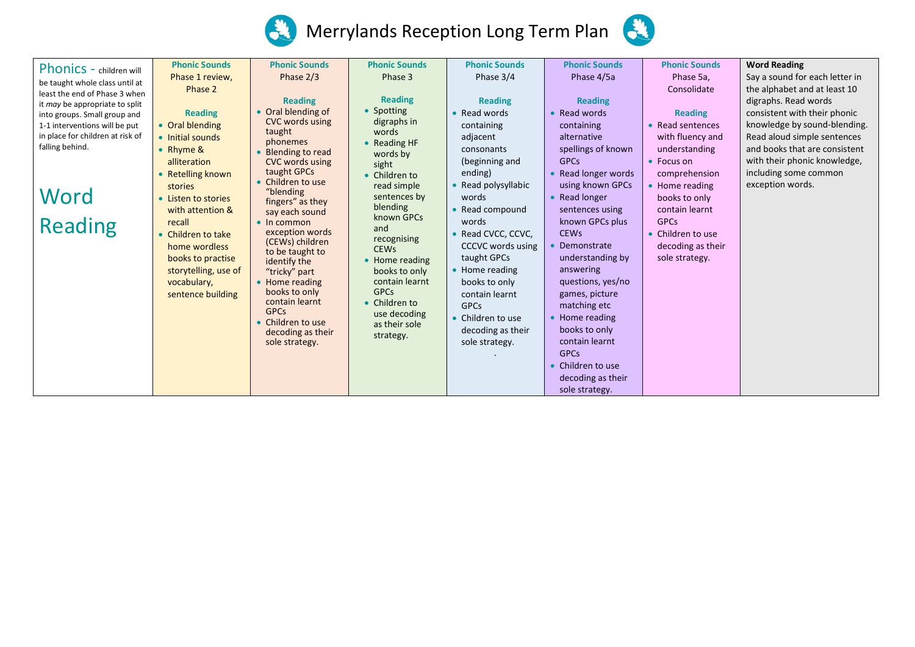



| <b>Phonic Sounds</b> | <b>Phonic Sounds</b>                                                                                                   | <b>Phonic Sounds</b>                                                                                                                                                                                                                                                                                        | <b>Phonic Sounds</b>                                                                                                                                                                                | <b>Phonic Sounds</b>                                                                                                                                                | <b>Phonic Sounds</b>                                                                                                                                                                                  | <b>Word Reading</b>            |
|----------------------|------------------------------------------------------------------------------------------------------------------------|-------------------------------------------------------------------------------------------------------------------------------------------------------------------------------------------------------------------------------------------------------------------------------------------------------------|-----------------------------------------------------------------------------------------------------------------------------------------------------------------------------------------------------|---------------------------------------------------------------------------------------------------------------------------------------------------------------------|-------------------------------------------------------------------------------------------------------------------------------------------------------------------------------------------------------|--------------------------------|
| Phase 1 review,      | Phase $2/3$                                                                                                            | Phase 3                                                                                                                                                                                                                                                                                                     | Phase 3/4                                                                                                                                                                                           | Phase 4/5a                                                                                                                                                          | Phase 5a,                                                                                                                                                                                             | Say a sound for each letter in |
| Phase 2              |                                                                                                                        |                                                                                                                                                                                                                                                                                                             |                                                                                                                                                                                                     |                                                                                                                                                                     | Consolidate                                                                                                                                                                                           | the alphabet and at least 10   |
|                      | <b>Reading</b>                                                                                                         | <b>Reading</b>                                                                                                                                                                                                                                                                                              | <b>Reading</b>                                                                                                                                                                                      | <b>Reading</b>                                                                                                                                                      |                                                                                                                                                                                                       | digraphs. Read words           |
| <b>Reading</b>       |                                                                                                                        |                                                                                                                                                                                                                                                                                                             | • Read words                                                                                                                                                                                        | • Read words                                                                                                                                                        | <b>Reading</b>                                                                                                                                                                                        | consistent with their phonic   |
| • Oral blending      |                                                                                                                        |                                                                                                                                                                                                                                                                                                             | containing                                                                                                                                                                                          | containing                                                                                                                                                          | Read sentences                                                                                                                                                                                        | knowledge by sound-blending.   |
| • Initial sounds     |                                                                                                                        |                                                                                                                                                                                                                                                                                                             | adjacent                                                                                                                                                                                            | alternative                                                                                                                                                         | with fluency and                                                                                                                                                                                      | Read aloud simple sentences    |
| • Rhyme &            |                                                                                                                        |                                                                                                                                                                                                                                                                                                             | consonants                                                                                                                                                                                          | spellings of known                                                                                                                                                  | understanding                                                                                                                                                                                         | and books that are consistent  |
| alliteration         |                                                                                                                        |                                                                                                                                                                                                                                                                                                             | (beginning and                                                                                                                                                                                      | <b>GPCs</b>                                                                                                                                                         | • Focus on                                                                                                                                                                                            | with their phonic knowledge,   |
|                      | taught GPCs                                                                                                            |                                                                                                                                                                                                                                                                                                             | ending)                                                                                                                                                                                             | • Read longer words                                                                                                                                                 | comprehension                                                                                                                                                                                         | including some common          |
| stories              | • Children to use                                                                                                      | read simple                                                                                                                                                                                                                                                                                                 | • Read polysyllabic                                                                                                                                                                                 | using known GPCs                                                                                                                                                    | • Home reading                                                                                                                                                                                        | exception words.               |
| • Listen to stories  |                                                                                                                        | sentences by                                                                                                                                                                                                                                                                                                | words                                                                                                                                                                                               | • Read longer                                                                                                                                                       | books to only                                                                                                                                                                                         |                                |
| with attention &     |                                                                                                                        | blending                                                                                                                                                                                                                                                                                                    |                                                                                                                                                                                                     | sentences using                                                                                                                                                     | contain learnt                                                                                                                                                                                        |                                |
| recall               | $\bullet$ In common                                                                                                    |                                                                                                                                                                                                                                                                                                             | words                                                                                                                                                                                               | known GPCs plus                                                                                                                                                     | <b>GPCs</b>                                                                                                                                                                                           |                                |
|                      | exception words                                                                                                        |                                                                                                                                                                                                                                                                                                             |                                                                                                                                                                                                     | <b>CEWs</b>                                                                                                                                                         | • Children to use                                                                                                                                                                                     |                                |
| home wordless        | (CEWs) children                                                                                                        |                                                                                                                                                                                                                                                                                                             | CCCVC words using                                                                                                                                                                                   | Demonstrate                                                                                                                                                         |                                                                                                                                                                                                       |                                |
|                      |                                                                                                                        |                                                                                                                                                                                                                                                                                                             | taught GPCs                                                                                                                                                                                         |                                                                                                                                                                     | sole strategy.                                                                                                                                                                                        |                                |
|                      |                                                                                                                        |                                                                                                                                                                                                                                                                                                             |                                                                                                                                                                                                     | answering                                                                                                                                                           |                                                                                                                                                                                                       |                                |
|                      |                                                                                                                        | contain learnt                                                                                                                                                                                                                                                                                              |                                                                                                                                                                                                     |                                                                                                                                                                     |                                                                                                                                                                                                       |                                |
|                      | books to only                                                                                                          | <b>GPCs</b>                                                                                                                                                                                                                                                                                                 |                                                                                                                                                                                                     |                                                                                                                                                                     |                                                                                                                                                                                                       |                                |
|                      | contain learnt                                                                                                         | • Children to                                                                                                                                                                                                                                                                                               |                                                                                                                                                                                                     |                                                                                                                                                                     |                                                                                                                                                                                                       |                                |
|                      |                                                                                                                        | use decoding                                                                                                                                                                                                                                                                                                |                                                                                                                                                                                                     |                                                                                                                                                                     |                                                                                                                                                                                                       |                                |
|                      |                                                                                                                        | as their sole                                                                                                                                                                                                                                                                                               |                                                                                                                                                                                                     |                                                                                                                                                                     |                                                                                                                                                                                                       |                                |
|                      |                                                                                                                        |                                                                                                                                                                                                                                                                                                             |                                                                                                                                                                                                     |                                                                                                                                                                     |                                                                                                                                                                                                       |                                |
|                      |                                                                                                                        |                                                                                                                                                                                                                                                                                                             |                                                                                                                                                                                                     |                                                                                                                                                                     |                                                                                                                                                                                                       |                                |
|                      |                                                                                                                        |                                                                                                                                                                                                                                                                                                             |                                                                                                                                                                                                     |                                                                                                                                                                     |                                                                                                                                                                                                       |                                |
|                      |                                                                                                                        |                                                                                                                                                                                                                                                                                                             |                                                                                                                                                                                                     |                                                                                                                                                                     |                                                                                                                                                                                                       |                                |
|                      |                                                                                                                        |                                                                                                                                                                                                                                                                                                             |                                                                                                                                                                                                     |                                                                                                                                                                     |                                                                                                                                                                                                       |                                |
|                      | • Retelling known<br>Children to take<br>books to practise<br>storytelling, use of<br>vocabulary,<br>sentence building | • Oral blending of<br>CVC words using<br>taught<br>phonemes<br>Blending to read<br><b>CVC words using</b><br>"blending<br>fingers" as they<br>say each sound<br>to be taught to<br>identify the<br>"tricky" part<br>• Home reading<br><b>GPCs</b><br>Children to use<br>decoding as their<br>sole strategy. | • Spotting<br>digraphs in<br>words<br>$\bullet$ Reading HF<br>words by<br>sight<br>• Children to<br>known GPCs<br>and<br>recognising<br><b>CEWs</b><br>• Home reading<br>books to only<br>strategy. | • Read compound<br>Read CVCC, CCVC,<br>• Home reading<br>books to only<br>contain learnt<br><b>GPCs</b><br>• Children to use<br>decoding as their<br>sole strategy. | understanding by<br>questions, yes/no<br>games, picture<br>matching etc<br>Home reading<br>books to only<br>contain learnt<br><b>GPCs</b><br>• Children to use<br>decoding as their<br>sole strategy. | decoding as their              |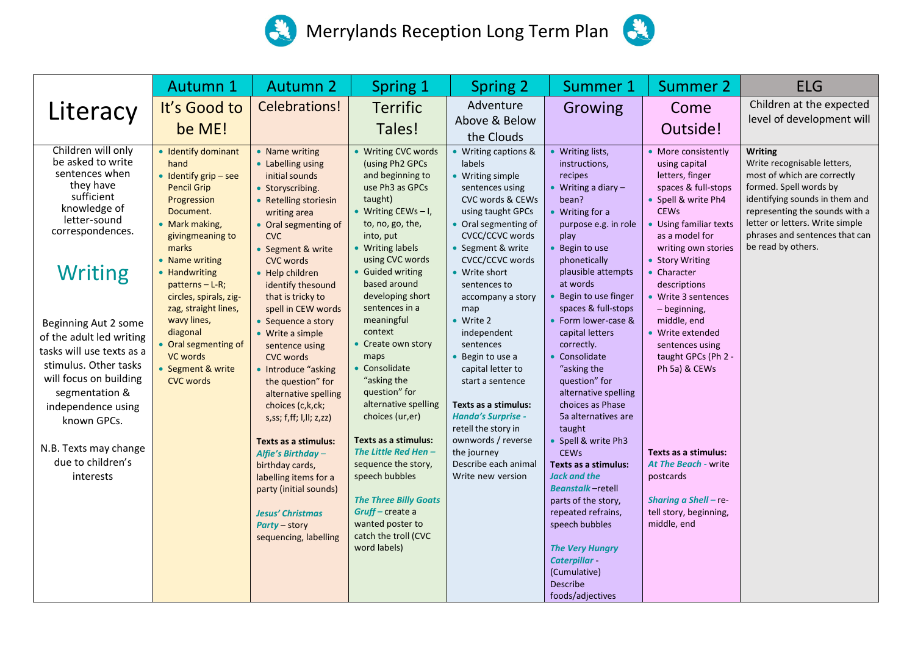## Merrylands Reception Long Term Plan



|                                                                                                                                                                                                                                                                                                                                                                                                                  | Autumn 1                                                                                                                                                                                                                                                                                                                                                                               | <b>Autumn 2</b>                                                                                                                                                                                                                                                                                                                                                                                                                                                                                                                                                                                                                                                                          | Spring 1                                                                                                                                                                                                                                                                                                                                                                                                                                                                                                                                                                                                                     | <b>Spring 2</b>                                                                                                                                                                                                                                                                                                                                                                                                                                                                                                                         | Summer 1                                                                                                                                                                                                                                                                                                                                                                                                                                                                                                                                                                                                                                                                                                     | <b>Summer 2</b>                                                                                                                                                                                                                                                                                                                                                                                                                                                                                             | <b>ELG</b>                                                                                                                                                                                                                                                     |
|------------------------------------------------------------------------------------------------------------------------------------------------------------------------------------------------------------------------------------------------------------------------------------------------------------------------------------------------------------------------------------------------------------------|----------------------------------------------------------------------------------------------------------------------------------------------------------------------------------------------------------------------------------------------------------------------------------------------------------------------------------------------------------------------------------------|------------------------------------------------------------------------------------------------------------------------------------------------------------------------------------------------------------------------------------------------------------------------------------------------------------------------------------------------------------------------------------------------------------------------------------------------------------------------------------------------------------------------------------------------------------------------------------------------------------------------------------------------------------------------------------------|------------------------------------------------------------------------------------------------------------------------------------------------------------------------------------------------------------------------------------------------------------------------------------------------------------------------------------------------------------------------------------------------------------------------------------------------------------------------------------------------------------------------------------------------------------------------------------------------------------------------------|-----------------------------------------------------------------------------------------------------------------------------------------------------------------------------------------------------------------------------------------------------------------------------------------------------------------------------------------------------------------------------------------------------------------------------------------------------------------------------------------------------------------------------------------|--------------------------------------------------------------------------------------------------------------------------------------------------------------------------------------------------------------------------------------------------------------------------------------------------------------------------------------------------------------------------------------------------------------------------------------------------------------------------------------------------------------------------------------------------------------------------------------------------------------------------------------------------------------------------------------------------------------|-------------------------------------------------------------------------------------------------------------------------------------------------------------------------------------------------------------------------------------------------------------------------------------------------------------------------------------------------------------------------------------------------------------------------------------------------------------------------------------------------------------|----------------------------------------------------------------------------------------------------------------------------------------------------------------------------------------------------------------------------------------------------------------|
| Literacy                                                                                                                                                                                                                                                                                                                                                                                                         | It's Good to<br>be ME!                                                                                                                                                                                                                                                                                                                                                                 | Celebrations!                                                                                                                                                                                                                                                                                                                                                                                                                                                                                                                                                                                                                                                                            | <b>Terrific</b><br>Tales!                                                                                                                                                                                                                                                                                                                                                                                                                                                                                                                                                                                                    | Adventure<br>Above & Below<br>the Clouds                                                                                                                                                                                                                                                                                                                                                                                                                                                                                                | Growing                                                                                                                                                                                                                                                                                                                                                                                                                                                                                                                                                                                                                                                                                                      | Come<br>Outside!                                                                                                                                                                                                                                                                                                                                                                                                                                                                                            | Children at the expected<br>level of development will                                                                                                                                                                                                          |
| Children will only<br>be asked to write<br>sentences when<br>they have<br>sufficient<br>knowledge of<br>letter-sound<br>correspondences.<br><b>Writing</b><br>Beginning Aut 2 some<br>of the adult led writing<br>tasks will use texts as a<br>stimulus. Other tasks<br>will focus on building<br>segmentation &<br>independence using<br>known GPCs.<br>N.B. Texts may change<br>due to children's<br>interests | • Identify dominant<br>hand<br>$\bullet$ Identify grip – see<br><b>Pencil Grip</b><br>Progression<br>Document.<br>• Mark making,<br>givingmeaning to<br>marks<br>• Name writing<br>• Handwriting<br>$patterns - L-R;$<br>circles, spirals, zig-<br>zag, straight lines,<br>wavy lines,<br>diagonal<br>• Oral segmenting of<br><b>VC words</b><br>• Segment & write<br><b>CVC words</b> | • Name writing<br>• Labelling using<br>initial sounds<br>• Storyscribing.<br><b>Retelling storiesin</b><br>writing area<br>• Oral segmenting of<br><b>CVC</b><br>• Segment & write<br><b>CVC words</b><br>Help children<br>identify thesound<br>that is tricky to<br>spell in CEW words<br>Sequence a story<br>• Write a simple<br>sentence using<br><b>CVC words</b><br>• Introduce "asking<br>the question" for<br>alternative spelling<br>choices (c,k,ck;<br>s,ss; f,ff; l,ll; z,zz)<br>Texts as a stimulus:<br>Alfie's Birthday -<br>birthday cards,<br>labelling items for a<br>party (initial sounds)<br><b>Jesus' Christmas</b><br><b>Party - story</b><br>sequencing, labelling | • Writing CVC words<br>(using Ph2 GPCs<br>and beginning to<br>use Ph3 as GPCs<br>taught)<br>• Writing CEWs $-1$ ,<br>to, no, go, the,<br>into, put<br>• Writing labels<br>using CVC words<br>• Guided writing<br>based around<br>developing short<br>sentences in a<br>meaningful<br>context<br>• Create own story<br>maps<br>• Consolidate<br>"asking the<br>question" for<br>alternative spelling<br>choices (ur,er)<br>Texts as a stimulus:<br>The Little Red Hen-<br>sequence the story,<br>speech bubbles<br><b>The Three Billy Goats</b><br>Gruff-create a<br>wanted poster to<br>catch the troll (CVC<br>word labels) | • Writing captions &<br>labels<br>• Writing simple<br>sentences using<br>CVC words & CEWs<br>using taught GPCs<br>• Oral segmenting of<br><b>CVCC/CCVC words</b><br>• Segment & write<br>CVCC/CCVC words<br>• Write short<br>sentences to<br>accompany a story<br>map<br>• Write 2<br>independent<br>sentences<br>Begin to use a<br>capital letter to<br>start a sentence<br>Texts as a stimulus:<br><b>Handa's Surprise -</b><br>retell the story in<br>ownwords / reverse<br>the journey<br>Describe each animal<br>Write new version | • Writing lists,<br>instructions,<br>recipes<br>• Writing a diary $-$<br>bean?<br>• Writing for a<br>purpose e.g. in role<br>play<br>• Begin to use<br>phonetically<br>plausible attempts<br>at words<br>Begin to use finger<br>spaces & full-stops<br>• Form lower-case &<br>capital letters<br>correctly.<br>• Consolidate<br>"asking the<br>question" for<br>alternative spelling<br>choices as Phase<br>5a alternatives are<br>taught<br>• Spell & write Ph3<br><b>CEWs</b><br>Texts as a stimulus:<br>Jack and the<br><b>Beanstalk-retell</b><br>parts of the story,<br>repeated refrains,<br>speech bubbles<br><b>The Very Hungry</b><br>Caterpillar -<br>(Cumulative)<br>Describe<br>foods/adjectives | • More consistently<br>using capital<br>letters, finger<br>spaces & full-stops<br>• Spell & write Ph4<br><b>CEWs</b><br>Using familiar texts<br>as a model for<br>writing own stories<br>• Story Writing<br>• Character<br>descriptions<br>• Write 3 sentences<br>- beginning,<br>middle, end<br>• Write extended<br>sentences using<br>taught GPCs (Ph 2 -<br>Ph 5a) & CEWs<br>Texts as a stimulus:<br>At The Beach - write<br>postcards<br>Sharing a Shell - re-<br>tell story, beginning,<br>middle, end | Writing<br>Write recognisable letters,<br>most of which are correctly<br>formed. Spell words by<br>identifying sounds in them and<br>representing the sounds with a<br>letter or letters. Write simple<br>phrases and sentences that can<br>be read by others. |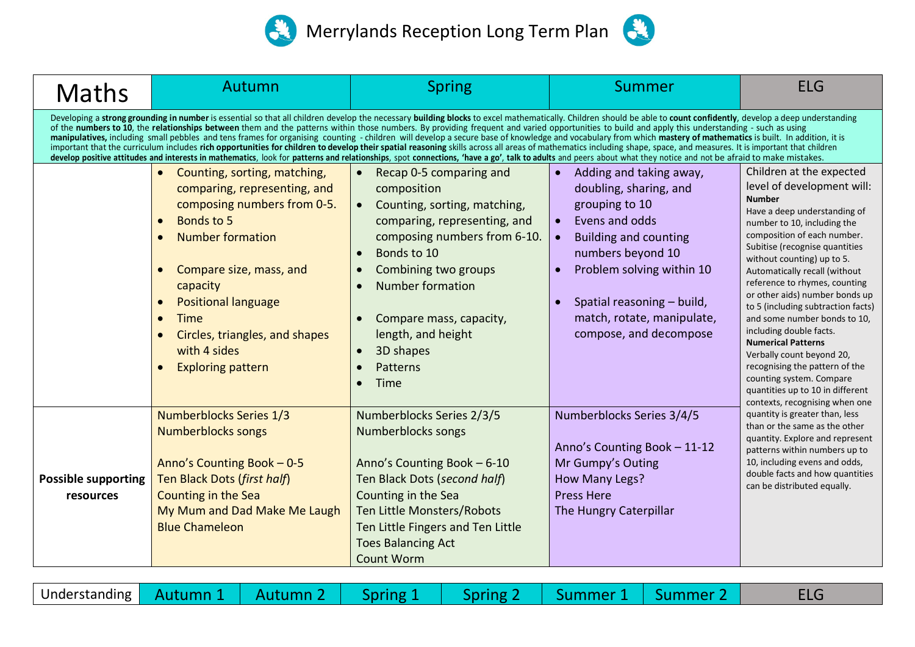

| <b>Maths</b>                                                                                                                                                                                                                                                                                                                                                                                                                                                                                                                                                                                                                                                                                                                                                                                                                                                                                                                                                                                                                                                                           | Autumn                                                                                                                                                                                                                                                                                                                                        | <b>Spring</b>                                                                                                                                                                                                                                                                                                                                                     | Summer                                                                                                                                                                                                                                                                                  | <b>ELG</b>                                                                                                                                                                                                                                                                                                                                                                                                                                                                                                                                                                                                                               |  |  |  |  |  |
|----------------------------------------------------------------------------------------------------------------------------------------------------------------------------------------------------------------------------------------------------------------------------------------------------------------------------------------------------------------------------------------------------------------------------------------------------------------------------------------------------------------------------------------------------------------------------------------------------------------------------------------------------------------------------------------------------------------------------------------------------------------------------------------------------------------------------------------------------------------------------------------------------------------------------------------------------------------------------------------------------------------------------------------------------------------------------------------|-----------------------------------------------------------------------------------------------------------------------------------------------------------------------------------------------------------------------------------------------------------------------------------------------------------------------------------------------|-------------------------------------------------------------------------------------------------------------------------------------------------------------------------------------------------------------------------------------------------------------------------------------------------------------------------------------------------------------------|-----------------------------------------------------------------------------------------------------------------------------------------------------------------------------------------------------------------------------------------------------------------------------------------|------------------------------------------------------------------------------------------------------------------------------------------------------------------------------------------------------------------------------------------------------------------------------------------------------------------------------------------------------------------------------------------------------------------------------------------------------------------------------------------------------------------------------------------------------------------------------------------------------------------------------------------|--|--|--|--|--|
| Developing a strong grounding in number is essential so that all children develop the necessary building blocks to excel mathematically. Children should be able to count confidently, develop a deep understanding<br>of the numbers to 10, the relationships between them and the patterns within those numbers. By providing frequent and varied opportunities to build and apply this understanding - such as using<br>manipulatives, including small pebbles and tens frames for organising counting - children will develop a secure base of knowledge and vocabulary from which mastery of mathematics is built. In addition, it is<br>important that the curriculum includes rich opportunities for children to develop their spatial reasoning skills across all areas of mathematics including shape, space, and measures. It is important that children<br>develop positive attitudes and interests in mathematics, look for patterns and relationships, spot connections, 'have a go', talk to adults and peers about what they notice and not be afraid to make mistakes. |                                                                                                                                                                                                                                                                                                                                               |                                                                                                                                                                                                                                                                                                                                                                   |                                                                                                                                                                                                                                                                                         |                                                                                                                                                                                                                                                                                                                                                                                                                                                                                                                                                                                                                                          |  |  |  |  |  |
|                                                                                                                                                                                                                                                                                                                                                                                                                                                                                                                                                                                                                                                                                                                                                                                                                                                                                                                                                                                                                                                                                        | Counting, sorting, matching,<br>comparing, representing, and<br>composing numbers from 0-5.<br>Bonds to 5<br><b>Number formation</b><br>Compare size, mass, and<br>$\bullet$<br>capacity<br><b>Positional language</b><br><b>Time</b><br>$\bullet$<br>Circles, triangles, and shapes<br>with 4 sides<br><b>Exploring pattern</b><br>$\bullet$ | Recap 0-5 comparing and<br>composition<br>Counting, sorting, matching,<br>$\bullet$<br>comparing, representing, and<br>composing numbers from 6-10.<br>Bonds to 10<br>$\bullet$<br>Combining two groups<br>$\bullet$<br>Number formation<br>$\bullet$<br>Compare mass, capacity,<br>length, and height<br>3D shapes<br>$\bullet$<br>Patterns<br>Time<br>$\bullet$ | Adding and taking away,<br>doubling, sharing, and<br>grouping to 10<br>Evens and odds<br>$\bullet$<br><b>Building and counting</b><br>$\bullet$<br>numbers beyond 10<br>Problem solving within 10<br>Spatial reasoning - build,<br>match, rotate, manipulate,<br>compose, and decompose | Children at the expected<br>level of development will:<br><b>Number</b><br>Have a deep understanding of<br>number to 10, including the<br>composition of each number.<br>Subitise (recognise quantities<br>without counting) up to 5.<br>Automatically recall (without<br>reference to rhymes, counting<br>or other aids) number bonds up<br>to 5 (including subtraction facts)<br>and some number bonds to 10,<br>including double facts.<br><b>Numerical Patterns</b><br>Verbally count beyond 20,<br>recognising the pattern of the<br>counting system. Compare<br>quantities up to 10 in different<br>contexts, recognising when one |  |  |  |  |  |
| <b>Possible supporting</b><br>resources                                                                                                                                                                                                                                                                                                                                                                                                                                                                                                                                                                                                                                                                                                                                                                                                                                                                                                                                                                                                                                                | <b>Numberblocks Series 1/3</b><br><b>Numberblocks songs</b><br>Anno's Counting Book $-0.5$<br>Ten Black Dots (first half)<br>Counting in the Sea<br>My Mum and Dad Make Me Laugh<br><b>Blue Chameleon</b>                                                                                                                                     | Numberblocks Series 2/3/5<br>Numberblocks songs<br>Anno's Counting Book - 6-10<br>Ten Black Dots (second half)<br>Counting in the Sea<br>Ten Little Monsters/Robots<br>Ten Little Fingers and Ten Little<br><b>Toes Balancing Act</b><br>Count Worm                                                                                                               | Numberblocks Series 3/4/5<br>Anno's Counting Book - 11-12<br>Mr Gumpy's Outing<br>How Many Legs?<br><b>Press Here</b><br>The Hungry Caterpillar                                                                                                                                         | quantity is greater than, less<br>than or the same as the other<br>quantity. Explore and represent<br>patterns within numbers up to<br>10, including evens and odds,<br>double facts and how quantities<br>can be distributed equally.                                                                                                                                                                                                                                                                                                                                                                                                   |  |  |  |  |  |

| Understanding   Autumn 1 |  | Autumn 2 | Spring | spring | Summer | Summer |  |
|--------------------------|--|----------|--------|--------|--------|--------|--|
|--------------------------|--|----------|--------|--------|--------|--------|--|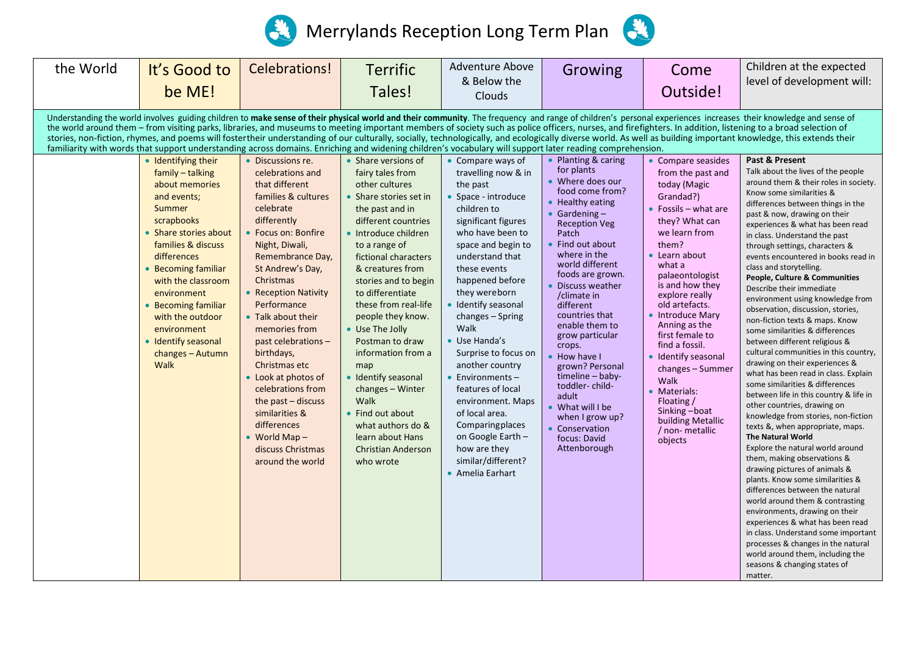



| the World | It's Good to<br>be ME!                                                                                                                                                                                                                                                                                                                                                                                                                                                                                     | Celebrations!                                                                                                                                                                                                                                                                                                                                                                          | <b>Terrific</b><br>Tales!                                                                                                                                                                                                                                                                                                                                                                                                 | Adventure Above<br>& Below the<br>Clouds                                                                                                                                                                                                                                                                                                                                                           | Growing                                                                                                                                                                                                                                                                                                                                                                                                      | Come<br>Outside!                                                                                                                                                                                                                                                                                                                                                                             | Children at the expected<br>level of development will:                                                                                                                                                                                                                                                                                                                                                                                                                                                                                                                                                                                                                                                                                                                                                                                                                                                                                                                                                                                                                                                                                                                                                                                                                                                                                                                                                                                                                     |
|-----------|------------------------------------------------------------------------------------------------------------------------------------------------------------------------------------------------------------------------------------------------------------------------------------------------------------------------------------------------------------------------------------------------------------------------------------------------------------------------------------------------------------|----------------------------------------------------------------------------------------------------------------------------------------------------------------------------------------------------------------------------------------------------------------------------------------------------------------------------------------------------------------------------------------|---------------------------------------------------------------------------------------------------------------------------------------------------------------------------------------------------------------------------------------------------------------------------------------------------------------------------------------------------------------------------------------------------------------------------|----------------------------------------------------------------------------------------------------------------------------------------------------------------------------------------------------------------------------------------------------------------------------------------------------------------------------------------------------------------------------------------------------|--------------------------------------------------------------------------------------------------------------------------------------------------------------------------------------------------------------------------------------------------------------------------------------------------------------------------------------------------------------------------------------------------------------|----------------------------------------------------------------------------------------------------------------------------------------------------------------------------------------------------------------------------------------------------------------------------------------------------------------------------------------------------------------------------------------------|----------------------------------------------------------------------------------------------------------------------------------------------------------------------------------------------------------------------------------------------------------------------------------------------------------------------------------------------------------------------------------------------------------------------------------------------------------------------------------------------------------------------------------------------------------------------------------------------------------------------------------------------------------------------------------------------------------------------------------------------------------------------------------------------------------------------------------------------------------------------------------------------------------------------------------------------------------------------------------------------------------------------------------------------------------------------------------------------------------------------------------------------------------------------------------------------------------------------------------------------------------------------------------------------------------------------------------------------------------------------------------------------------------------------------------------------------------------------------|
|           | familiarity with words that support understanding across domains. Enriching and widening children's vocabulary will support later reading comprehension.<br>• Identifying their<br>family - talking<br>about memories<br>and events;<br>Summer<br>scrapbooks<br>• Share stories about<br>families & discuss<br>differences<br>• Becoming familiar<br>with the classroom<br>environment<br>• Becoming familiar<br>with the outdoor<br>environment<br>• Identify seasonal<br>changes - Autumn<br><b>Walk</b> | • Discussions re.<br>celebrations and<br>that different<br>families & cultures<br>celebrate<br>differently<br>Focus on: Bonfire<br>Night, Diwali,<br>Remembrance Day,<br>St Andrew's Day,<br>Christmas<br>• Reception Nativity<br>Performance<br>• Talk about their<br>memories from<br>past celebrations -<br>birthdays,<br>Christmas etc<br>• Look at photos of<br>celebrations from | • Share versions of<br>fairy tales from<br>other cultures<br>• Share stories set in<br>the past and in<br>different countries<br>• Introduce children<br>to a range of<br>fictional characters<br>& creatures from<br>stories and to begin<br>to differentiate<br>these from real-life<br>people they know.<br>• Use The Jolly<br>Postman to draw<br>information from a<br>map<br>• Identify seasonal<br>changes - Winter | • Compare ways of<br>travelling now & in<br>the past<br>• Space - introduce<br>children to<br>significant figures<br>who have been to<br>space and begin to<br>understand that<br>these events<br>happened before<br>they wereborn<br>· Identify seasonal<br>changes - Spring<br>Walk<br>• Use Handa's<br>Surprise to focus on<br>another country<br>$\bullet$ Environments -<br>features of local | Planting & caring<br>for plants<br>• Where does our<br>food come from?<br>Healthy eating<br>• Gardening $-$<br><b>Reception Veg</b><br>Patch<br>Find out about<br>where in the<br>world different<br>foods are grown.<br>Discuss weather<br>/climate in<br>different<br>countries that<br>enable them to<br>grow particular<br>crops.<br>How have I<br>grown? Personal<br>timeline - baby-<br>toddler-child- | • Compare seasides<br>from the past and<br>today (Magic<br>Grandad?)<br>• Fossils $-$ what are<br>they? What can<br>we learn from<br>them?<br>• Learn about<br>what a<br>palaeontologist<br>is and how they<br>explore really<br>old artefacts.<br>• Introduce Mary<br>Anning as the<br>first female to<br>find a fossil.<br>· Identify seasonal<br>changes - Summer<br>Walk<br>• Materials: | Understanding the world involves guiding children to make sense of their physical world and their community. The frequency and range of children's personal experiences increases their knowledge and sense of<br>the world around them - from visiting parks, libraries, and museums to meeting important members of society such as police officers, nurses, and firefighters. In addition, listening to a broad selection of<br>stories, non-fiction, rhymes, and poems will fostertheir understanding of our culturally, socially, technologically, and ecologically diverse world. As well as building important knowledge, this extends their<br>Past & Present<br>Talk about the lives of the people<br>around them & their roles in society.<br>Know some similarities &<br>differences between things in the<br>past & now, drawing on their<br>experiences & what has been read<br>in class. Understand the past<br>through settings, characters &<br>events encountered in books read in<br>class and storytelling.<br>People, Culture & Communities<br>Describe their immediate<br>environment using knowledge from<br>observation, discussion, stories,<br>non-fiction texts & maps. Know<br>some similarities & differences<br>between different religious &<br>cultural communities in this country,<br>drawing on their experiences &<br>what has been read in class. Explain<br>some similarities & differences<br>between life in this country & life in |
|           |                                                                                                                                                                                                                                                                                                                                                                                                                                                                                                            | the past $-$ discuss<br>similarities &<br>differences<br>World Map $-$<br>discuss Christmas<br>around the world                                                                                                                                                                                                                                                                        | Walk<br>• Find out about<br>what authors do &<br>learn about Hans<br><b>Christian Anderson</b><br>who wrote                                                                                                                                                                                                                                                                                                               | environment. Maps<br>of local area.<br>Comparing places<br>on Google Earth -<br>how are they<br>similar/different?<br>• Amelia Earhart                                                                                                                                                                                                                                                             | adult<br>What will I be<br>when I grow up?<br>Conservation<br>focus: David<br>Attenborough                                                                                                                                                                                                                                                                                                                   | Floating /<br>Sinking-boat<br>building Metallic<br>/ non- metallic<br>objects                                                                                                                                                                                                                                                                                                                | other countries, drawing on<br>knowledge from stories, non-fiction<br>texts &, when appropriate, maps.<br><b>The Natural World</b><br>Explore the natural world around<br>them, making observations &<br>drawing pictures of animals &<br>plants. Know some similarities &<br>differences between the natural<br>world around them & contrasting<br>environments, drawing on their<br>experiences & what has been read<br>in class. Understand some important<br>processes & changes in the natural<br>world around them, including the<br>seasons & changing states of<br>matter.                                                                                                                                                                                                                                                                                                                                                                                                                                                                                                                                                                                                                                                                                                                                                                                                                                                                                         |